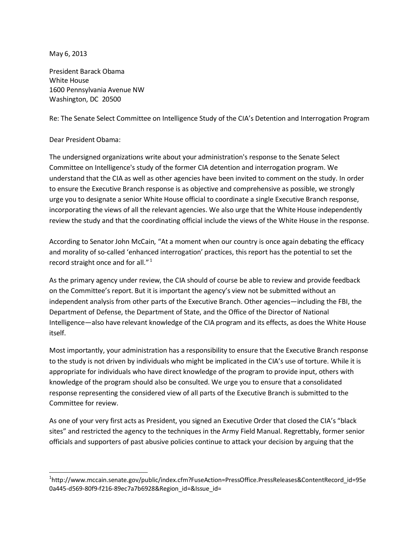May 6, 2013

President Barack Obama White House 1600 Pennsylvania Avenue NW Washington, DC 20500

Re: The Senate Select Committee on Intelligence Study of the CIA's Detention and Interrogation Program

## Dear President Obama:

The undersigned organizations write about your administration's response to the Senate Select Committee on Intelligence's study of the former CIA detention and interrogation program. We understand that the CIA as well as other agencies have been invited to comment on the study. In order to ensure the Executive Branch response is as objective and comprehensive as possible, we strongly urge you to designate a senior White House official to coordinate a single Executive Branch response, incorporating the views of all the relevant agencies. We also urge that the White House independently review the study and that the coordinating official include the views of the White House in the response.

According to Senator John McCain, "At a moment when our country is once again debating the efficacy and morality of so-called 'enhanced interrogation' practices, this report has the potential to set the record straight once and for all."<sup>1</sup>

As the primary agency under review, the CIA should of course be able to review and provide feedback on the Committee's report. But it is important the agency's view not be submitted without an independent analysis from other parts of the Executive Branch. Other agencies—including the FBI, the Department of Defense, the Department of State, and the Office of the Director of National Intelligence—also have relevant knowledge of the CIA program and its effects, as does the White House itself.

Most importantly, your administration has a responsibility to ensure that the Executive Branch response to the study is not driven by individuals who might be implicated in the CIA's use of torture. While it is appropriate for individuals who have direct knowledge of the program to provide input, others with knowledge of the program should also be consulted. We urge you to ensure that a consolidated response representing the considered view of all parts of the Executive Branch is submitted to the Committee for review.

As one of your very first acts as President, you signed an Executive Order that closed the CIA's "black sites" and restricted the agency to the techniques in the Army Field Manual. Regrettably, former senior officials and supporters of past abusive policies continue to attack your decision by arguing that the

 $\overline{a}$ 1 http://www.mccain.senate.gov/public/index.cfm?FuseAction=PressOffice.PressReleases&ContentRecord\_id=95e 0a445-d569-80f9-f216-89ec7a7b6928&Region\_id=&Issue\_id=